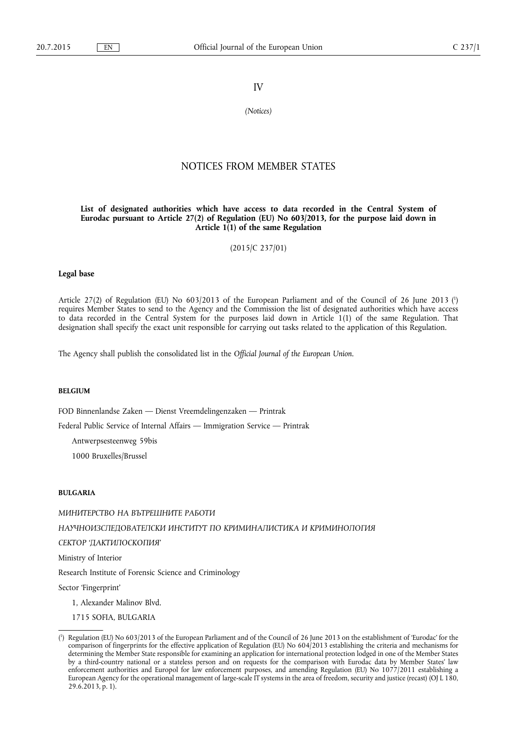# IV

*(Notices)* 

# NOTICES FROM MEMBER STATES

#### **List of designated authorities which have access to data recorded in the Central System of Eurodac pursuant to Article 27(2) of Regulation (EU) No 603/2013, for the purpose laid down in Article 1(1) of the same Regulation**

(2015/C 237/01)

#### **Legal base**

Article 27(2) of Regulation (EU) No 603/2013 of the European Parliament and of the Council of 26 June 2013 ( 1 ) requires Member States to send to the Agency and the Commission the list of designated authorities which have access to data recorded in the Central System for the purposes laid down in Article 1(1) of the same Regulation. That designation shall specify the exact unit responsible for carrying out tasks related to the application of this Regulation.

The Agency shall publish the consolidated list in the *Official Journal of the European Union*.

#### **BELGIUM**

FOD Binnenlandse Zaken — Dienst Vreemdelingenzaken — Printrak

Federal Public Service of Internal Affairs — Immigration Service — Printrak

Antwerpsesteenweg 59bis

1000 Bruxelles/Brussel

#### **BULGARIA**

МИНИТЕРСТВО НА ВЪТРЕШНИТЕ РАБОТИ НАУЧНОИЗСЛЕДОВАТЕЛСКИ ИНСТИТУТ ПО КРИМИНАЛИСТИКА И КРИМИНОЛОГИЯ СЕКТОР 'ДАКТИЛОСКОПИЯ'

Ministry of Interior

Research Institute of Forensic Science and Criminology

Sector 'Fingerprint'

- 1, Alexander Malinov Blvd.
- 1715 SOFIA, BULGARIA

<sup>(</sup> 1 ) Regulation (EU) No 603/2013 of the European Parliament and of the Council of 26 June 2013 on the establishment of 'Eurodac' for the comparison of fingerprints for the effective application of Regulation (EU) No 604/2013 establishing the criteria and mechanisms for determining the Member State responsible for examining an application for international protection lodged in one of the Member States by a third-country national or a stateless person and on requests for the comparison with Eurodac data by Member States' law enforcement authorities and Europol for law enforcement purposes, and amending Regulation (EU) No 1077/2011 establishing a European Agency for the operational management of large-scale IT systems in the area of freedom, security and justice (recast) (OJ L 180, 29.6.2013, p. 1).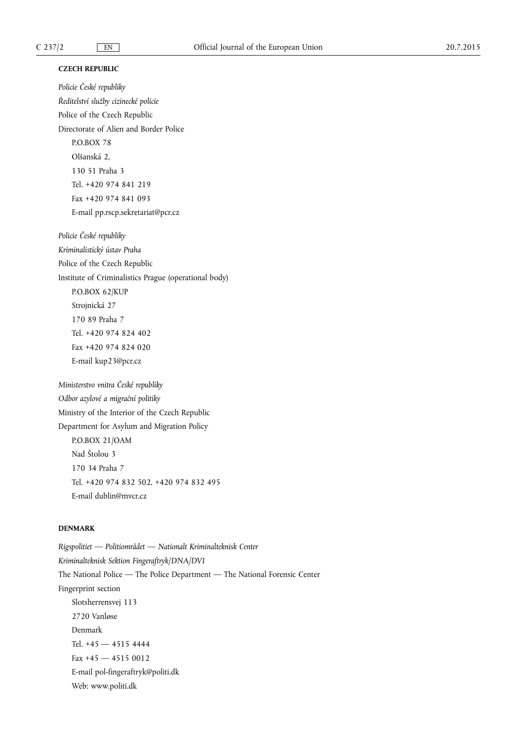### **CZECH REPUBLIC**

*Policie ÿeské republiky Ředitelství služby cizinecké policie*  Police of the Czech Republic Directorate of Alien and Border Police P.O.BOX 78 Olšanská 2, 130 51 Praha 3 Tel. +420 974 841 219 Fax +420 974 841 093 E-mail [pp.rscp.sekretariat@pcr.cz](mailto:pp.rscp.sekretariat@pcr.cz) 

*Policie ÿeské republiky Kriminalistický ústav Praha*  Police of the Czech Republic Institute of Criminalistics Prague (operational body) P.O.BOX 62/KUP Strojnická 27 170 89 Praha 7 Tel. +420 974 824 402 Fax +420 974 824 020 E-mail [kup23@pcr.cz](mailto:kup23@pcr.cz) 

*Ministerstvo vnitra ÿeské republiky Odbor azylové a migraĀní politiky*  Ministry of the Interior of the Czech Republic Department for Asylum and Migration Policy P.O.BOX 21/OAM Nad Štolou 3 170 34 Praha 7 Tel. +420 974 832 502, +420 974 832 495 E-mail [dublin@mvcr.cz](mailto:dublin@mvcr.cz)

### **DENMARK**

*Rigspolitiet — Politiområdet — Nationalt Kriminalteknisk Center Kriminalteknisk Sektion Fingeraftryk/DNA/DVI*  The National Police — The Police Department — The National Forensic Center Fingerprint section Slotsherrensvej 113 2720 Vanløse Denmark Tel. +45 — 4515 4444 Fax +45 — 4515 0012 E-mail [pol-fingeraftryk@politi.dk](mailto:pol-fingeraftryk@politi.dk) Web: [www.politi.dk](http://www.politi.dk)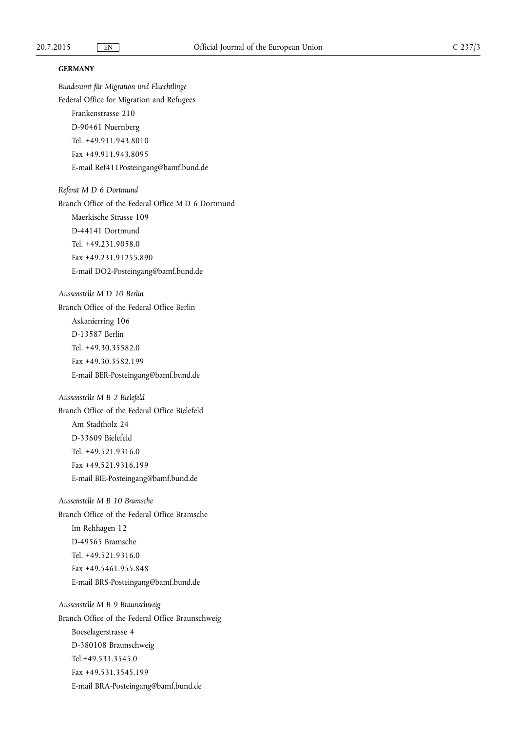*Bundesamt für Migration und Fluechtlinge* 

## **GERMANY**

Federal Office for Migration and Refugees Frankenstrasse 210 D-90461 Nuernberg Tel. +49.911.943.8010 Fax +49.911.943.8095 E-mail [Ref411Posteingang@bamf.bund.de](mailto:Ref411Posteingang@bamf.bund.de)  *Referat M D 6 Dortmund*  Branch Office of the Federal Office M D 6 Dortmund Maerkische Strasse 109 D-44141 Dortmund Tel. +49.231.9058.0 Fax +49.231.91255.890 E-mail [DO2-Posteingang@bamf.bund.de](mailto:DO2-Posteingang@bamf.bund.de)  *Aussenstelle M D 10 Berlin*  Branch Office of the Federal Office Berlin Askanierring 106 D-13587 Berlin Tel. +49.30.35582.0 Fax +49.30.3582.199 E-mail [BER-Posteingang@bamf.bund.de](mailto:BER-Posteingang@bamf.bund.de) *Aussenstelle M B 2 Bielefeld*  Branch Office of the Federal Office Bielefeld Am Stadtholz 24 D-33609 Bielefeld Tel. +49.521.9316.0 Fax +49.521.9316.199 E-mail [BIE-Posteingang@bamf.bund.de](mailto:BIE-Posteingang@bamf.bund.de)  *Aussenstelle M B 10 Bramsche*  Branch Office of the Federal Office Bramsche Im Rehhagen 12 D-49565 Bramsche Tel. +49.521.9316.0 Fax +49.5461.955.848 E-mail [BRS-Posteingang@bamf.bund.de](mailto:BRS-Posteingang@bamf.bund.de) *Aussenstelle M B 9 Braunschweig*  Branch Office of the Federal Office Braunschweig Boeselagerstrasse 4 D-380108 Braunschweig Tel.+49.531.3545.0 Fax +49.531.3545.199 E-mail [BRA-Posteingang@bamf.bund.de](mailto:BRA-Posteingang@bamf.bund.de)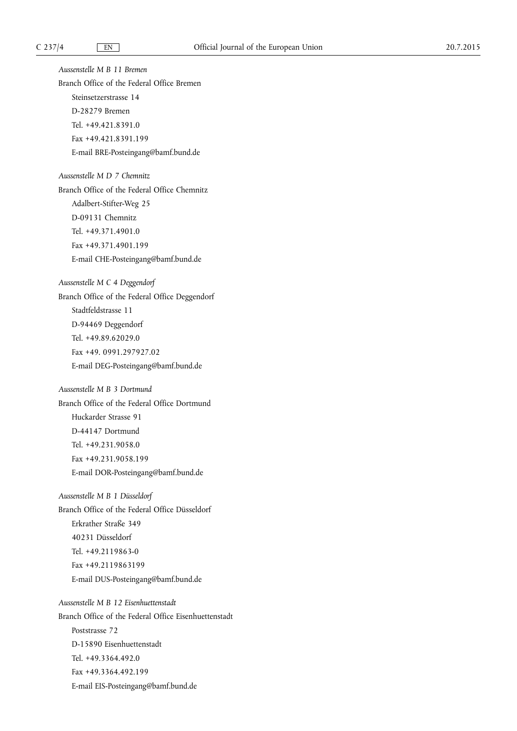*Aussenstelle M B 11 Bremen*  Branch Office of the Federal Office Bremen Steinsetzerstrasse 14 D-28279 Bremen Tel. +49.421.8391.0 Fax +49.421.8391.199 E-mail [BRE-Posteingang@bamf.bund.de](mailto:BRE-Posteingang@bamf.bund.de)  *Aussenstelle M D 7 Chemnitz*  Branch Office of the Federal Office Chemnitz Adalbert-Stifter-Weg 25 D-09131 Chemnitz Tel. +49.371.4901.0 Fax +49.371.4901.199 E-mail [CHE-Posteingang@bamf.bund.de](mailto:CHE-Posteingang@bamf.bund.de)  *Aussenstelle M C 4 Deggendorf*  Branch Office of the Federal Office Deggendorf Stadtfeldstrasse 11 D-94469 Deggendorf Tel. +49.89.62029.0 Fax +49. 0991.297927.02 E-mail [DEG-Posteingang@bamf.bund.de](mailto:DEG-Posteingang@bamf.bund.de)  *Aussenstelle M B 3 Dortmund*  Branch Office of the Federal Office Dortmund Huckarder Strasse 91 D-44147 Dortmund Tel. +49.231.9058.0 Fax +49.231.9058.199 E-mail [DOR-Posteingang@bamf.bund.de](mailto:DOR-Posteingang@bamf.bund.de) *Aussenstelle M B 1 Düsseldorf*  Branch Office of the Federal Office Düsseldorf Erkrather Straße 349 40231 Düsseldorf Tel. +49.2119863-0 Fax +49.2119863199 E-mail [DUS-Posteingang@bamf.bund.de](mailto:DUS-Posteingang@bamf.bund.de) *Aussenstelle M B 12 Eisenhuettenstadt*  Branch Office of the Federal Office Eisenhuettenstadt Poststrasse 72 D-15890 Eisenhuettenstadt Tel. +49.3364.492.0 Fax +49.3364.492.199 E-mail [EIS-Posteingang@bamf.bund.de](mailto:EIS-Posteingang@bamf.bund.de)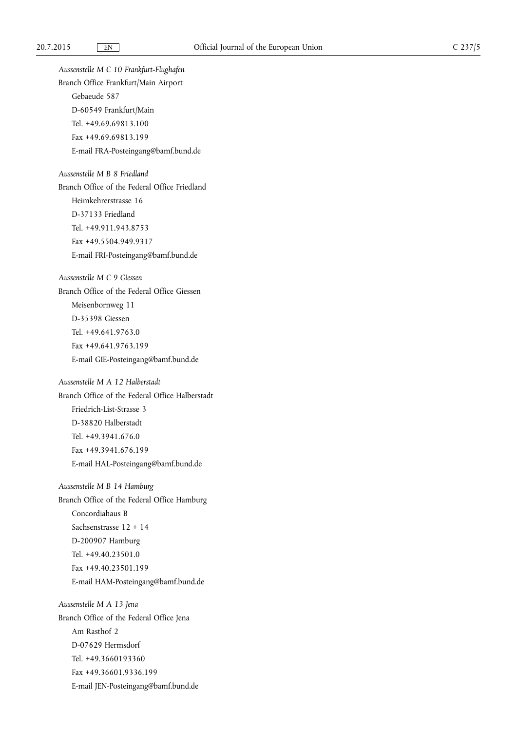*Aussenstelle M C 10 Frankfurt-Flughafen*  Branch Office Frankfurt/Main Airport Gebaeude 587 D-60549 Frankfurt/Main Tel. +49.69.69813.100 Fax +49.69.69813.199 E-mail [FRA-Posteingang@bamf.bund.de](mailto:FRA-Posteingang@bamf.bund.de) *Aussenstelle M B 8 Friedland*  Branch Office of the Federal Office Friedland Heimkehrerstrasse 16 D-37133 Friedland Tel. +49.911.943.8753 Fax +49.5504.949.9317 E-mail [FRI-Posteingang@bamf.bund.de](mailto:FRI-Posteingang@bamf.bund.de)  *Aussenstelle M C 9 Giessen*  Branch Office of the Federal Office Giessen Meisenbornweg 11 D-35398 Giessen Tel. +49.641.9763.0 Fax +49.641.9763.199 E-mail [GIE-Posteingang@bamf.bund.de](mailto:GIE-Posteingang@bamf.bund.de)  *Aussenstelle M A 12 Halberstadt*  Branch Office of the Federal Office Halberstadt Friedrich-List-Strasse 3 D-38820 Halberstadt Tel. +49.3941.676.0 Fax +49.3941.676.199 E-mail [HAL-Posteingang@bamf.bund.de](mailto:HAL-Posteingang@bamf.bund.de)  *Aussenstelle M B 14 Hamburg*  Branch Office of the Federal Office Hamburg Concordiahaus B Sachsenstrasse 12 + 14 D-200907 Hamburg Tel. +49.40.23501.0 Fax +49.40.23501.199 E-mail [HAM-Posteingang@bamf.bund.de](mailto:HAM-Posteingang@bamf.bund.de) *Aussenstelle M A 13 Jena*  Branch Office of the Federal Office Jena Am Rasthof 2 D-07629 Hermsdorf Tel. +49.3660193360 Fax +49.36601.9336.199 E-mail [JEN-Posteingang@bamf.bund.de](mailto:JEN-Posteingang@bamf.bund.de)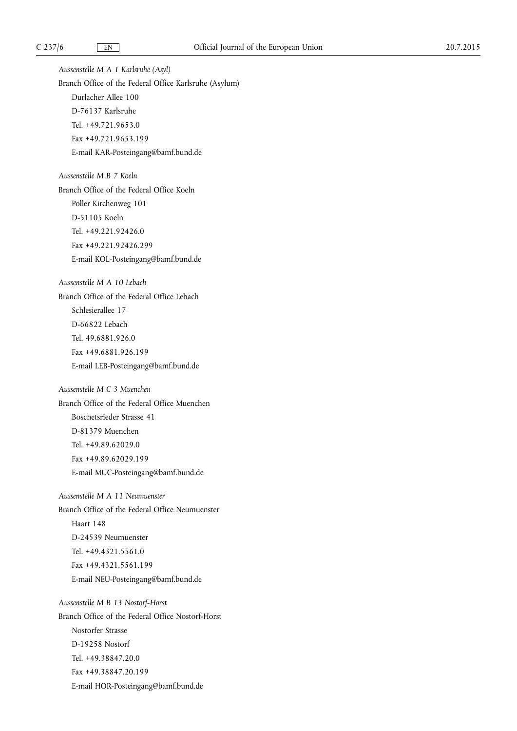*Aussenstelle M A 1 Karlsruhe (Asyl)*  Branch Office of the Federal Office Karlsruhe (Asylum) Durlacher Allee 100 D-76137 Karlsruhe Tel. +49.721.9653.0 Fax +49.721.9653.199 E-mail [KAR-Posteingang@bamf.bund.de](mailto:KAR-Posteingang@bamf.bund.de) *Aussenstelle M B 7 Koeln*  Branch Office of the Federal Office Koeln Poller Kirchenweg 101 D-51105 Koeln Tel. +49.221.92426.0 Fax +49.221.92426.299 E-mail [KOL-Posteingang@bamf.bund.de](mailto:KOL-Posteingang@bamf.bund.de)  *Aussenstelle M A 10 Lebach*  Branch Office of the Federal Office Lebach Schlesierallee 17 D-66822 Lebach Tel. 49.6881.926.0 Fax +49.6881.926.199 E-mail [LEB-Posteingang@bamf.bund.de](mailto:LEB-Posteingang@bamf.bund.de) *Aussenstelle M C 3 Muenchen*  Branch Office of the Federal Office Muenchen Boschetsrieder Strasse 41 D-81379 Muenchen Tel. +49.89.62029.0 Fax +49.89.62029.199 E-mail [MUC-Posteingang@bamf.bund.de](mailto:MUC-Posteingang@bamf.bund.de) *Aussenstelle M A 11 Neumuenster*  Branch Office of the Federal Office Neumuenster Haart 148 D-24539 Neumuenster Tel. +49.4321.5561.0 Fax +49.4321.5561.199 E-mail [NEU-Posteingang@bamf.bund.de](mailto:NEU-Posteingang@bamf.bund.de) *Aussenstelle M B 13 Nostorf-Horst*  Branch Office of the Federal Office Nostorf-Horst Nostorfer Strasse D-19258 Nostorf Tel. +49.38847.20.0 Fax +49.38847.20.199 E-mail [HOR-Posteingang@bamf.bund.de](mailto:HOR-Posteingang@bamf.bund.de)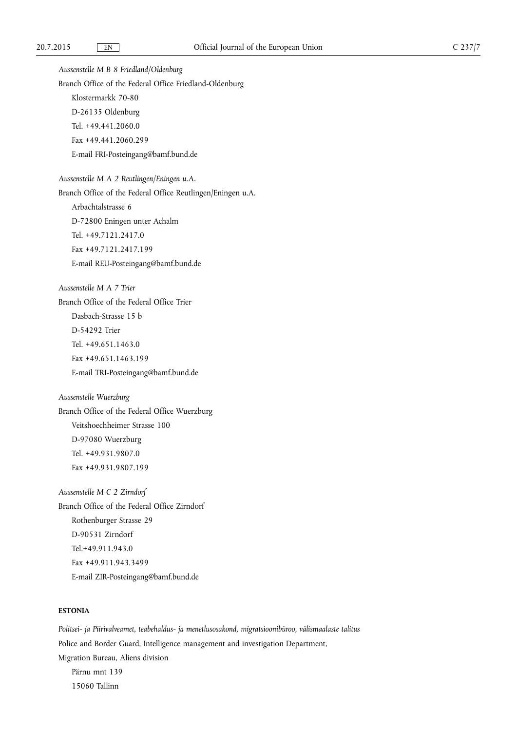*Aussenstelle M B 8 Friedland/Oldenburg*  Branch Office of the Federal Office Friedland-Oldenburg Klostermarkk 70-80 D-26135 Oldenburg Tel. +49.441.2060.0 Fax +49.441.2060.299 E-mail [FRI-Posteingang@bamf.bund.de](mailto:FRI-Posteingang@bamf.bund.de)  *Aussenstelle M A 2 Reutlingen/Eningen u.A.*  Branch Office of the Federal Office Reutlingen/Eningen u.A. Arbachtalstrasse 6 D-72800 Eningen unter Achalm Tel. +49.7121.2417.0 Fax +49.7121.2417.199 E-mail [REU-Posteingang@bamf.bund.de](mailto:REU-Posteingang@bamf.bund.de)  *Aussenstelle M A 7 Trier*  Branch Office of the Federal Office Trier Dasbach-Strasse 15 b D-54292 Trier Tel. +49.651.1463.0 Fax +49.651.1463.199 E-mail [TRI-Posteingang@bamf.bund.de](mailto:TRI-Posteingang@bamf.bund.de)  *Aussenstelle Wuerzburg*  Branch Office of the Federal Office Wuerzburg Veitshoechheimer Strasse 100 D-97080 Wuerzburg Tel. +49.931.9807.0 Fax +49.931.9807.199 *Aussenstelle M C 2 Zirndorf*  Branch Office of the Federal Office Zirndorf Rothenburger Strasse 29 D-90531 Zirndorf Tel.+49.911.943.0 Fax +49.911.943.3499 E-mail [ZIR-Posteingang@bamf.bund.de](mailto:ZIR-Posteingang@bamf.bund.de) 

# **ESTONIA**

*Politsei- ja Piirivalveamet, teabehaldus- ja menetlusosakond, migratsioonibüroo, välismaalaste talitus*  Police and Border Guard, Intelligence management and investigation Department, Migration Bureau, Aliens division Pärnu mnt 139 15060 Tallinn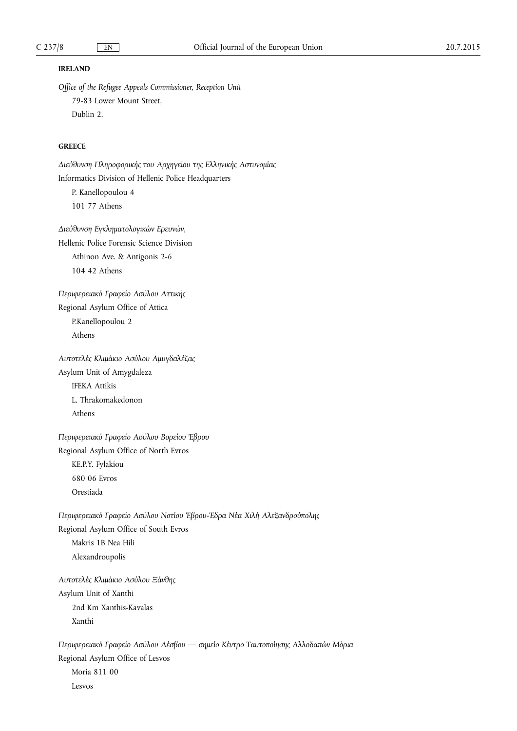### **IRELAND**

*Office of the Refugee Appeals Commissioner, Reception Unit*  79-83 Lower Mount Street, Dublin 2.

# **GREECE**

Διεύθυνση Πληροφορικής του Αρχηγείου της Ελληνικής Αστυνομίας Informatics Division of Hellenic Police Headquarters

P. Kanellopoulou 4 101 77 Athens

 $\Delta$ ιεύθυνση Εγκληματολογικών Ερευνών, Hellenic Police Forensic Science Division Athinon Ave. & Antigonis 2-6 104 42 Athens

Περιφερειακό Γραφείο Ασύλου Αττικής Regional Asylum Office of Attica P.Kanellopoulou 2 Athens

Αυτοτελές Κλιμάκιο Ασύλου Αμυγδαλέζας Asylum Unit of Amygdaleza IFEKA Attikis L. Thrakomakedonon Athens

Περιφερειακό Γραφείο Ασύλου Βορείου Έβρου Regional Asylum Office of North Evros KE.P.Y. Fylakiou 680 06 Evros Orestiada

Περιφερειακό Γραφείο Ασύλου Νοτίου Έβρου-Έδρα Νέα Χιλή Αλεξανδρούπολης Regional Asylum Office of South Evros Makris 1B Nea Hili Alexandroupolis

*Αυτοτελές Κλιμάκιο Ασύλου Ξάνθης* Asylum Unit of Xanthi 2nd Km Xanthis-Kavalas Xanthi

Περιφερειακό Γραφείο Ασύλου Λέσβου — σημείο Κέντρο Ταυτοποίησης Αλλοδαπών Μόρια Regional Asylum Office of Lesvos Moria 811 00 Lesvos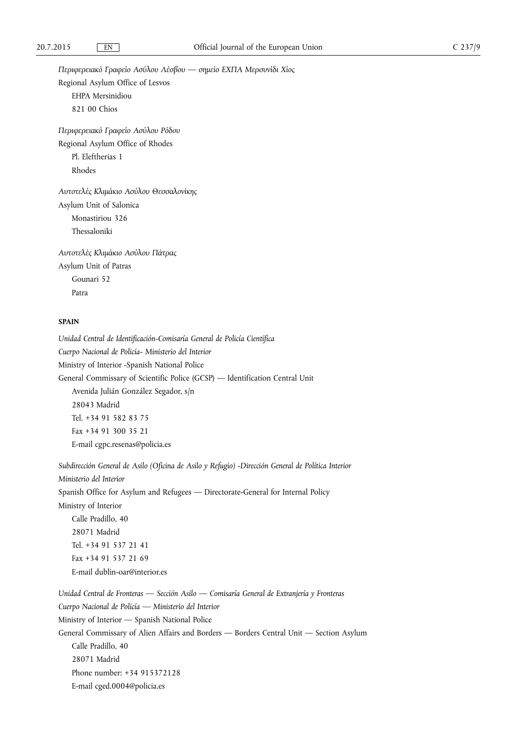Περιφερειακό Γραφείο Ασύλου Λέσβου — σημείο ΕΧΠΑ Μερσυνίδι Χίος Regional Asylum Office of Lesvos EHPA Mersinidiou 821 00 Chios

Περιφερειακό Γραφείο Ασύλου Ρόδου Regional Asylum Office of Rhodes Pl. Eleftherias 1 Rhodes

*Αυτοτελές Κλιμάκιο Ασύλου Θεσσαλονίκης* Asylum Unit of Salonica Monastiriou 326 Thessaloniki

Αυτοτελές Κλιμάκιο Ασύλου Πάτρας Asylum Unit of Patras Gounari 52 Patra

### **SPAIN**

*Unidad Central de Identificación-Comisaría General de Policía Científica Cuerpo Nacional de Policía- Ministerio del Interior*  Ministry of Interior -Spanish National Police General Commissary of Scientific Police (GCSP) — Identification Central Unit Avenida Julián González Segador, s/n 28043 Madrid Tel. +34 91 582 83 75 Fax +34 91 300 35 21 E-mail [cgpc.resenas@policia.es](mailto:cgpc.resenas@policia.es)

*Subdirección General de Asilo (Oficina de Asilo y Refugio) -Dirección General de Política Interior Ministerio del Interior*  Spanish Office for Asylum and Refugees — Directorate-General for Internal Policy Ministry of Interior Calle Pradillo, 40 28071 Madrid Tel. +34 91 537 21 41 Fax +34 91 537 21 69 E-mail [dublin-oar@interior.es](mailto:dublin-oar@interior.es) 

*Unidad Central de Fronteras — Sección Asilo — Comisaría General de Extranjería y Fronteras Cuerpo Nacional de Policía — Ministerio del Interior*  Ministry of Interior — Spanish National Police General Commissary of Alien Affairs and Borders — Borders Central Unit — Section Asylum Calle Pradillo, 40 28071 Madrid Phone number: +34 915372128 E-mail [cged.0004@policia.es](mailto:cged.0004@policia.es)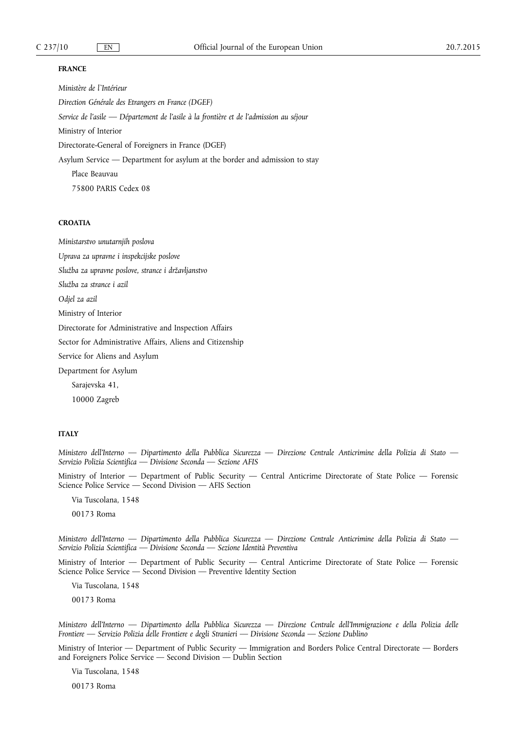### **FRANCE**

*Ministère de l`Intérieur Direction Générale des Etrangers en France (DGEF) Service de l'asile — Département de l'asile à la frontière et de l'admission au séjour*  Ministry of Interior Directorate-General of Foreigners in France (DGEF) Asylum Service — Department for asylum at the border and admission to stay Place Beauvau 75800 PARIS Cedex 08

## **CROATIA**

*Ministarstvo unutarnjih poslova* 

*Uprava za upravne i inspekcijske poslove* 

*Služba za upravne poslove, strance i državljanstvo* 

*Služba za strance i azil* 

*Odjel za azil* 

Ministry of Interior

Directorate for Administrative and Inspection Affairs

Sector for Administrative Affairs, Aliens and Citizenship

Service for Aliens and Asylum

Department for Asylum

Sarajevska 41,

10000 Zagreb

### **ITALY**

*Ministero dell'Interno — Dipartimento della Pubblica Sicurezza — Direzione Centrale Anticrimine della Polizia di Stato — Servizio Polizia Scientifica — Divisione Seconda — Sezione AFIS* 

Ministry of Interior — Department of Public Security — Central Anticrime Directorate of State Police — Forensic Science Police Service — Second Division — AFIS Section

Via Tuscolana, 1548

00173 Roma

*Ministero dell'Interno — Dipartimento della Pubblica Sicurezza — Direzione Centrale Anticrimine della Polizia di Stato — Servizio Polizia Scientifica — Divisione Seconda — Sezione Identità Preventiva* 

Ministry of Interior — Department of Public Security — Central Anticrime Directorate of State Police — Forensic Science Police Service — Second Division — Preventive Identity Section

Via Tuscolana, 1548

00173 Roma

*Ministero dell'Interno — Dipartimento della Pubblica Sicurezza — Direzione Centrale dell'Immigrazione e della Polizia delle Frontiere — Servizio Polizia delle Frontiere e degli Stranieri — Divisione Seconda — Sezione Dublino* 

Ministry of Interior — Department of Public Security — Immigration and Borders Police Central Directorate — Borders and Foreigners Police Service — Second Division — Dublin Section

Via Tuscolana, 1548

00173 Roma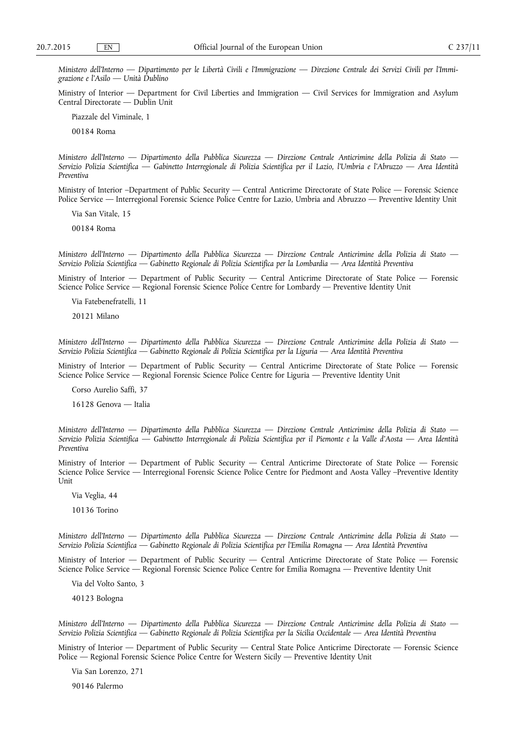*Ministero dell'Interno — Dipartimento per le Libertà Civili e l'Immigrazione — Direzione Centrale dei Servizi Civili per l'Immigrazione e l'Asilo — Unità Dublino* 

Ministry of Interior — Department for Civil Liberties and Immigration — Civil Services for Immigration and Asylum Central Directorate — Dublin Unit

Piazzale del Viminale, 1

00184 Roma

*Ministero dell'Interno — Dipartimento della Pubblica Sicurezza — Direzione Centrale Anticrimine della Polizia di Stato — Servizio Polizia Scientifica — Gabinetto Interregionale di Polizia Scientifica per il Lazio, l'Umbria e l'Abruzzo — Area Identità Preventiva* 

Ministry of Interior –Department of Public Security — Central Anticrime Directorate of State Police — Forensic Science Police Service — Interregional Forensic Science Police Centre for Lazio, Umbria and Abruzzo — Preventive Identity Unit

Via San Vitale, 15

00184 Roma

*Ministero dell'Interno — Dipartimento della Pubblica Sicurezza — Direzione Centrale Anticrimine della Polizia di Stato — Servizio Polizia Scientifica — Gabinetto Regionale di Polizia Scientifica per la Lombardia — Area Identità Preventiva* 

Ministry of Interior — Department of Public Security — Central Anticrime Directorate of State Police — Forensic Science Police Service — Regional Forensic Science Police Centre for Lombardy — Preventive Identity Unit

Via Fatebenefratelli, 11

20121 Milano

*Ministero dell'Interno — Dipartimento della Pubblica Sicurezza — Direzione Centrale Anticrimine della Polizia di Stato — Servizio Polizia Scientifica — Gabinetto Regionale di Polizia Scientifica per la Liguria — Area Identità Preventiva* 

Ministry of Interior — Department of Public Security — Central Anticrime Directorate of State Police — Forensic Science Police Service — Regional Forensic Science Police Centre for Liguria — Preventive Identity Unit

Corso Aurelio Saffi, 37

16128 Genova — Italia

*Ministero dell'Interno — Dipartimento della Pubblica Sicurezza — Direzione Centrale Anticrimine della Polizia di Stato — Servizio Polizia Scientifica — Gabinetto Interregionale di Polizia Scientifica per il Piemonte e la Valle d'Aosta — Area Identità Preventiva* 

Ministry of Interior — Department of Public Security — Central Anticrime Directorate of State Police — Forensic Science Police Service — Interregional Forensic Science Police Centre for Piedmont and Aosta Valley –Preventive Identity **Unit** 

Via Veglia, 44

10136 Torino

*Ministero dell'Interno — Dipartimento della Pubblica Sicurezza — Direzione Centrale Anticrimine della Polizia di Stato — Servizio Polizia Scientifica — Gabinetto Regionale di Polizia Scientifica per l'Emilia Romagna — Area Identità Preventiva* 

Ministry of Interior — Department of Public Security — Central Anticrime Directorate of State Police — Forensic Science Police Service — Regional Forensic Science Police Centre for Emilia Romagna — Preventive Identity Unit

Via del Volto Santo, 3

40123 Bologna

*Ministero dell'Interno — Dipartimento della Pubblica Sicurezza — Direzione Centrale Anticrimine della Polizia di Stato — Servizio Polizia Scientifica — Gabinetto Regionale di Polizia Scientifica per la Sicilia Occidentale — Area Identità Preventiva* 

Ministry of Interior — Department of Public Security — Central State Police Anticrime Directorate — Forensic Science Police — Regional Forensic Science Police Centre for Western Sicily — Preventive Identity Unit

Via San Lorenzo, 271

90146 Palermo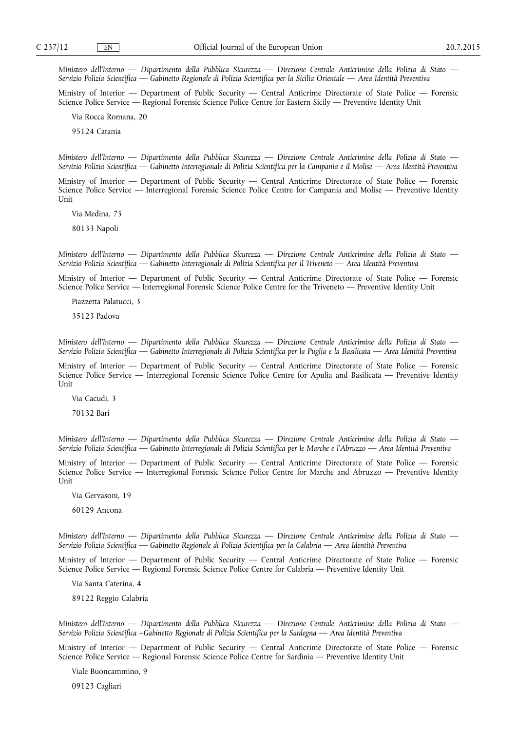*Ministero dell'Interno — Dipartimento della Pubblica Sicurezza — Direzione Centrale Anticrimine della Polizia di Stato — Servizio Polizia Scientifica — Gabinetto Regionale di Polizia Scientifica per la Sicilia Orientale — Area Identità Preventiva* 

Ministry of Interior — Department of Public Security — Central Anticrime Directorate of State Police — Forensic Science Police Service — Regional Forensic Science Police Centre for Eastern Sicily — Preventive Identity Unit

Via Rocca Romana, 20

95124 Catania

*Ministero dell'Interno — Dipartimento della Pubblica Sicurezza — Direzione Centrale Anticrimine della Polizia di Stato — Servizio Polizia Scientifica — Gabinetto Interregionale di Polizia Scientifica per la Campania e il Molise — Area Identità Preventiva* 

Ministry of Interior — Department of Public Security — Central Anticrime Directorate of State Police — Forensic Science Police Service — Interregional Forensic Science Police Centre for Campania and Molise — Preventive Identity **Unit** 

Via Medina, 75

80133 Napoli

*Ministero dell'Interno — Dipartimento della Pubblica Sicurezza — Direzione Centrale Anticrimine della Polizia di Stato — Servizio Polizia Scientifica — Gabinetto Interregionale di Polizia Scientifica per il Triveneto — Area Identità Preventiva* 

Ministry of Interior — Department of Public Security — Central Anticrime Directorate of State Police — Forensic Science Police Service — Interregional Forensic Science Police Centre for the Triveneto — Preventive Identity Unit

Piazzetta Palatucci, 3

35123 Padova

*Ministero dell'Interno — Dipartimento della Pubblica Sicurezza — Direzione Centrale Anticrimine della Polizia di Stato — Servizio Polizia Scientifica — Gabinetto Interregionale di Polizia Scientifica per la Puglia e la Basilicata — Area Identità Preventiva* 

Ministry of Interior — Department of Public Security — Central Anticrime Directorate of State Police — Forensic Science Police Service — Interregional Forensic Science Police Centre for Apulia and Basilicata — Preventive Identity Unit

Via Cacudi, 3

70132 Bari

*Ministero dell'Interno — Dipartimento della Pubblica Sicurezza — Direzione Centrale Anticrimine della Polizia di Stato — Servizio Polizia Scientifica — Gabinetto Interregionale di Polizia Scientifica per le Marche e l'Abruzzo — Area Identità Preventiva* 

Ministry of Interior — Department of Public Security — Central Anticrime Directorate of State Police — Forensic Science Police Service — Interregional Forensic Science Police Centre for Marche and Abruzzo — Preventive Identity Unit

Via Gervasoni, 19

60129 Ancona

*Ministero dell'Interno — Dipartimento della Pubblica Sicurezza — Direzione Centrale Anticrimine della Polizia di Stato — Servizio Polizia Scientifica — Gabinetto Regionale di Polizia Scientifica per la Calabria — Area Identità Preventiva* 

Ministry of Interior — Department of Public Security — Central Anticrime Directorate of State Police — Forensic Science Police Service — Regional Forensic Science Police Centre for Calabria — Preventive Identity Unit

Via Santa Caterina, 4

89122 Reggio Calabria

*Ministero dell'Interno — Dipartimento della Pubblica Sicurezza — Direzione Centrale Anticrimine della Polizia di Stato — Servizio Polizia Scientifica –Gabinetto Regionale di Polizia Scientifica per la Sardegna — Area Identità Preventiva* 

Ministry of Interior — Department of Public Security — Central Anticrime Directorate of State Police — Forensic Science Police Service — Regional Forensic Science Police Centre for Sardinia — Preventive Identity Unit

Viale Buoncammino, 9

09123 Cagliari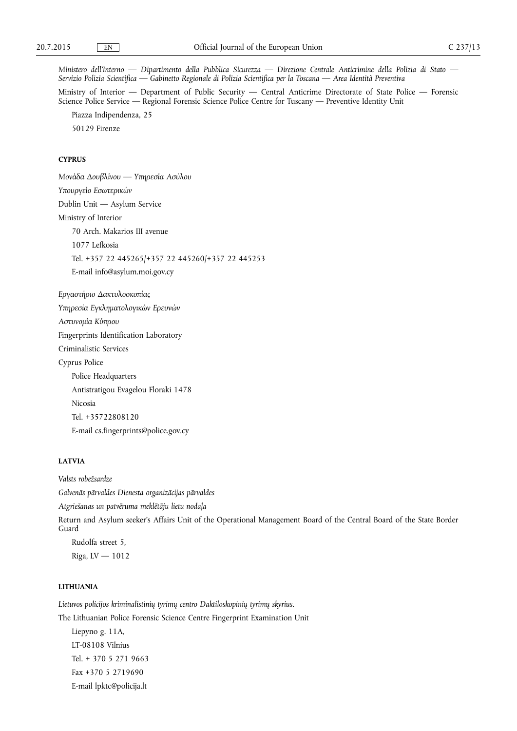*Ministero dell'Interno — Dipartimento della Pubblica Sicurezza — Direzione Centrale Anticrimine della Polizia di Stato — Servizio Polizia Scientifica — Gabinetto Regionale di Polizia Scientifica per la Toscana — Area Identità Preventiva* 

Ministry of Interior — Department of Public Security — Central Anticrime Directorate of State Police — Forensic Science Police Service — Regional Forensic Science Police Centre for Tuscany — Preventive Identity Unit

Piazza Indipendenza, 25

50129 Firenze

## **CYPRUS**

*Μονάδα Δουβλίνου* — Υπηρεσία Ασύλου Υπουργείο Εσωτερικών Dublin Unit — Asylum Service Ministry of Interior 70 Arch. Makarios III avenue 1077 Lefkosia Tel. +357 22 445265/+357 22 445260/+357 22 445253 E-mail [info@asylum.moi.gov.cy](mailto:info@asylum.moi.gov.cy)

**Εργαστήριο Δακτυλοσκοπίας** Υπηρεσία Εγκληματολογικών Ερευνών *Aστυνομία Κύπρου* Fingerprints Identification Laboratory Criminalistic Services Cyprus Police Police Headquarters Antistratigou Evagelou Floraki 1478 Nicosia Tel. +35722808120 E-mail [cs.fingerprints@police.gov.cy](mailto:cs.fingerprints@police.gov.cy) 

## **LATVIA**

*Valsts robežsardze Galvenās pārvaldes Dienesta organizācijas pārvaldes Atgriešanas un patvēruma meklētāju lietu nodaļa*  Return and Asylum seeker's Affairs Unit of the Operational Management Board of the Central Board of the State Border Guard Rudolfa street 5,

Riga, LV — 1012

#### **LITHUANIA**

*Lietuvos policijos kriminalistinių tyrimų centro Daktiloskopinių tyrimų skyrius.*  The Lithuanian Police Forensic Science Centre Fingerprint Examination Unit

Liepyno g. 11A, LT-08108 Vilnius Tel. + 370 5 271 9663 Fax +370 5 2719690 E-mail [lpktc@policija.lt](mailto:lpktc@policija.lt)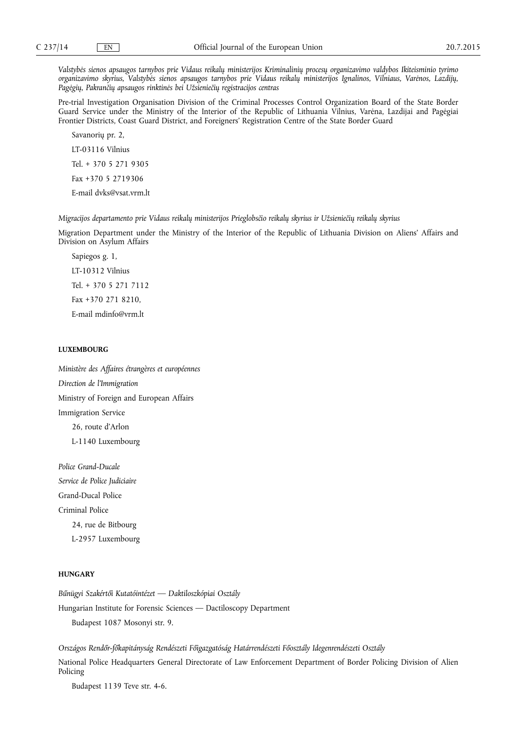*Valstybės sienos apsaugos tarnybos prie Vidaus reikalų ministerijos Kriminalinių procesų organizavimo valdybos Ikiteisminio tyrimo organizavimo skyrius, Valstybės sienos apsaugos tarnybos prie Vidaus reikalų ministerijos Ignalinos, Vilniaus, Varėnos, Lazdijų,*  Pagėgių, Pakrančių apsaugos rinktinės bei Užsieniečių registracijos centras

Pre-trial Investigation Organisation Division of the Criminal Processes Control Organization Board of the State Border Guard Service under the Ministry of the Interior of the Republic of Lithuania Vilnius, Varėna, Lazdijai and Pagėgiai Frontier Districts, Coast Guard District, and Foreigners' Registration Centre of the State Border Guard

Savanorių pr. 2, LT-03116 Vilnius Tel. + 370 5 271 9305 Fax +370 5 2719306 E-mail [dvks@vsat.vrm.lt](mailto:dvks@vsat.vrm.lt) 

*Migracijos departamento prie Vidaus reikalų ministerijos Prieglobsčio reikalų skyrius ir Užsieniečių reikalų skyrius* 

Migration Department under the Ministry of the Interior of the Republic of Lithuania Division on Aliens' Affairs and Division on Asylum Affairs

Sapiegos g. 1, LT-10312 Vilnius Tel. + 370 5 271 7112 Fax +370 271 8210, E-mail [mdinfo@vrm.lt](mailto:mdinfo@vrm.lt) 

## **LUXEMBOURG**

*Ministère des Affaires étrangères et européennes Direction de l'Immigration*  Ministry of Foreign and European Affairs Immigration Service 26, route d'Arlon L-1140 Luxembourg

*Police Grand-Ducale Service de Police Judiciaire*  Grand-Ducal Police Criminal Police 24, rue de Bitbourg L-2957 Luxembourg

## **HUNGARY**

*Bűnügyi Szakértői Kutatóintézet — Daktiloszkópiai Osztály*  Hungarian Institute for Forensic Sciences — Dactiloscopy Department Budapest 1087 Mosonyi str. 9.

*Országos Rendőr-főkapitányság Rendészeti Főigazgatóság Határrendészeti Főosztály Idegenrendészeti Osztály*  National Police Headquarters General Directorate of Law Enforcement Department of Border Policing Division of Alien Policing

Budapest 1139 Teve str. 4-6.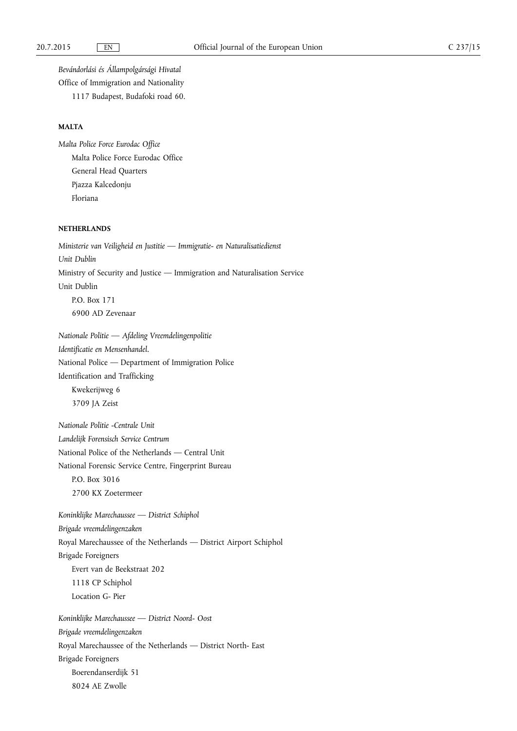*Bevándorlási és Állampolgársági Hivatal*  Office of Immigration and Nationality

1117 Budapest, Budafoki road 60.

### **MALTA**

*Malta Police Force Eurodac Office*  Malta Police Force Eurodac Office General Head Quarters Pjazza Kalcedonju Floriana

#### **NETHERLANDS**

*Ministerie van Veiligheid en Justitie — Immigratie- en Naturalisatiedienst Unit Dublin*  Ministry of Security and Justice — Immigration and Naturalisation Service Unit Dublin P.O. Box 171 6900 AD Zevenaar

*Nationale Politie — Afdeling Vreemdelingenpolitie Identificatie en Mensenhandel.*  National Police — Department of Immigration Police Identification and Trafficking Kwekerijweg 6 3709 JA Zeist

*Nationale Politie -Centrale Unit Landelijk Forensisch Service Centrum*  National Police of the Netherlands — Central Unit National Forensic Service Centre, Fingerprint Bureau P.O. Box 3016 2700 KX Zoetermeer

*Koninklijke Marechaussee — District Schiphol Brigade vreemdelingenzaken*  Royal Marechaussee of the Netherlands — District Airport Schiphol Brigade Foreigners Evert van de Beekstraat 202 1118 CP Schiphol Location G- Pier

*Koninklijke Marechaussee — District Noord- Oost Brigade vreemdelingenzaken*  Royal Marechaussee of the Netherlands — District North- East Brigade Foreigners Boerendanserdijk 51 8024 AE Zwolle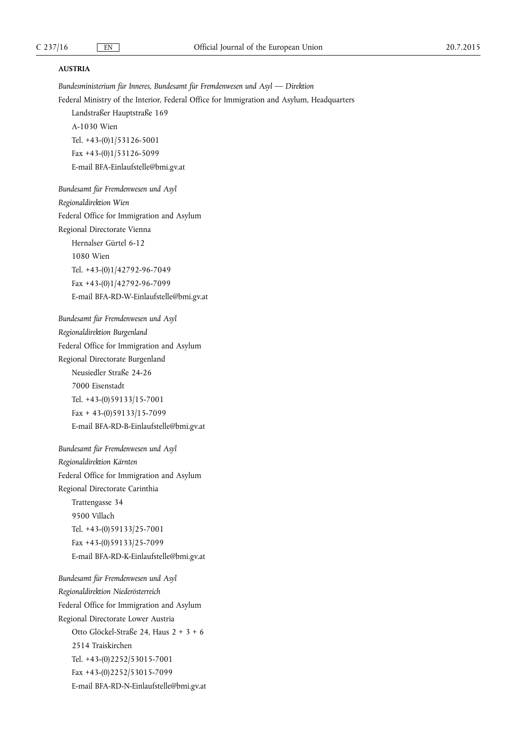### **AUSTRIA**

*Bundesministerium für Inneres, Bundesamt für Fremdenwesen und Asyl — Direktion*  Federal Ministry of the Interior, Federal Office for Immigration and Asylum, Headquarters Landstraßer Hauptstraße 169 A-1030 Wien Tel. +43-(0)1/53126-5001 Fax +43-(0)1/53126-5099 E-mail [BFA-Einlaufstelle@bmi.gv.at](mailto:BFA-Einlaufstelle@bmi.gv.at) *Bundesamt für Fremdenwesen und Asyl Regionaldirektion Wien*  Federal Office for Immigration and Asylum Regional Directorate Vienna Hernalser Gürtel 6-12

1080 Wien Tel. +43-(0)1/42792-96-7049 Fax +43-(0)1/42792-96-7099 E-mail [BFA-RD-W-Einlaufstelle@bmi.gv.at](mailto:BFA-RD-W-Einlaufstelle@bmi.gv.at) 

*Bundesamt für Fremdenwesen und Asyl Regionaldirektion Burgenland*  Federal Office for Immigration and Asylum Regional Directorate Burgenland Neusiedler Straße 24-26 7000 Eisenstadt Tel. +43-(0)59133/15-7001  $Fax + 43-(0)59133/15-7099$ 

E-mail [BFA-RD-B-Einlaufstelle@bmi.gv.at](mailto:BFA-RD-B-Einlaufstelle@bmi.gv.at)

*Bundesamt für Fremdenwesen und Asyl Regionaldirektion Kärnten*  Federal Office for Immigration and Asylum Regional Directorate Carinthia Trattengasse 34 9500 Villach Tel. +43-(0)59133/25-7001 Fax +43-(0)59133/25-7099 E-mail [BFA-RD-K-Einlaufstelle@bmi.gv.at](mailto:BFA-RD-K-Einlaufstelle@bmi.gv.at) 

*Bundesamt für Fremdenwesen und Asyl Regionaldirektion Niederösterreich*  Federal Office for Immigration and Asylum Regional Directorate Lower Austria Otto Glöckel-Straße 24, Haus 2 + 3 + 6 2514 Traiskirchen Tel. +43-(0)2252/53015-7001 Fax +43-(0)2252/53015-7099 E-mail [BFA-RD-N-Einlaufstelle@bmi.gv.at](mailto:BFA-RD-N-Einlaufstelle@bmi.gv.at)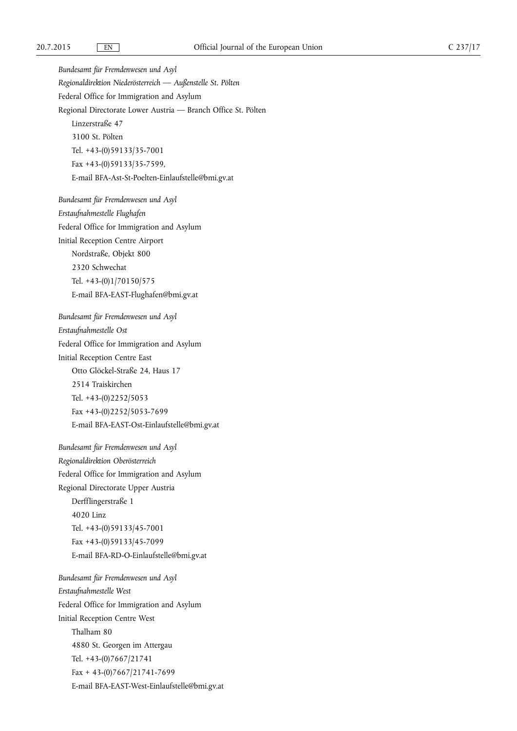*Bundesamt für Fremdenwesen und Asyl Regionaldirektion Niederösterreich — Außenstelle St. Pölten*  Federal Office for Immigration and Asylum Regional Directorate Lower Austria — Branch Office St. Pölten Linzerstraße 47 3100 St. Pölten Tel. +43-(0)59133/35-7001 Fax +43-(0)59133/35-7599, E-mail [BFA-Ast-St-Poelten-Einlaufstelle@bmi.gv.at](mailto:BFA-Ast-St-Poelten-Einlaufstelle@bmi.gv.at)

*Bundesamt für Fremdenwesen und Asyl Erstaufnahmestelle Flughafen*  Federal Office for Immigration and Asylum Initial Reception Centre Airport Nordstraße, Objekt 800 2320 Schwechat Tel. +43-(0)1/70150/575 E-mail [BFA-EAST-Flughafen@bmi.gv.at](mailto:BFA-EAST-Flughafen@bmi.gv.at)

*Bundesamt für Fremdenwesen und Asyl Erstaufnahmestelle Ost*  Federal Office for Immigration and Asylum Initial Reception Centre East Otto Glöckel-Straße 24, Haus 17 2514 Traiskirchen Tel. +43-(0)2252/5053 Fax +43-(0)2252/5053-7699 E-mail [BFA-EAST-Ost-Einlaufstelle@bmi.gv.at](mailto:BFA-EAST-Ost-Einlaufstelle@bmi.gv.at) 

*Bundesamt für Fremdenwesen und Asyl Regionaldirektion Oberösterreich*  Federal Office for Immigration and Asylum Regional Directorate Upper Austria Derfflingerstraße 1 4020 Linz Tel. +43-(0)59133/45-7001 Fax +43-(0)59133/45-7099 E-mail [BFA-RD-O-Einlaufstelle@bmi.gv.at](mailto:BFA-RD-O-Einlaufstelle@bmi.gv.at)

*Bundesamt für Fremdenwesen und Asyl Erstaufnahmestelle West*  Federal Office for Immigration and Asylum Initial Reception Centre West Thalham 80 4880 St. Georgen im Attergau Tel. +43-(0)7667/21741  $Fax + 43-(0)7667/21741-7699$ E-mail [BFA-EAST-West-Einlaufstelle@bmi.gv.at](mailto:BFA-EAST-West-Einlaufstelle@bmi.gv.at)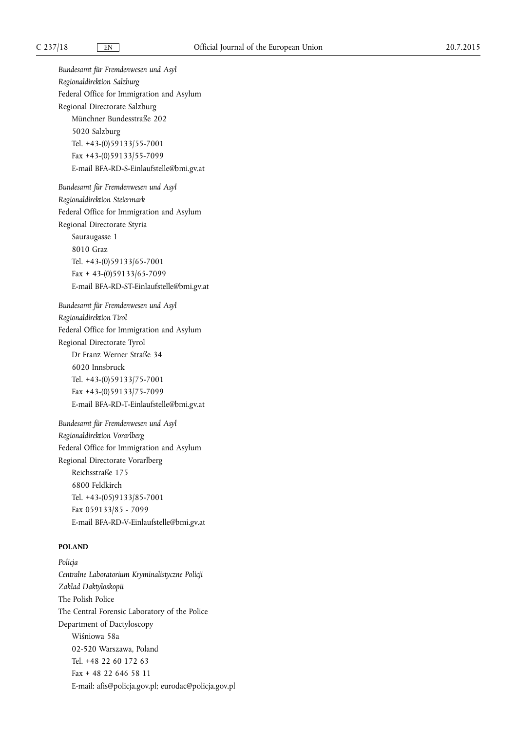*Bundesamt für Fremdenwesen und Asyl Regionaldirektion Salzburg*  Federal Office for Immigration and Asylum Regional Directorate Salzburg Münchner Bundesstraße 202 5020 Salzburg Tel. +43-(0)59133/55-7001 Fax +43-(0)59133/55-7099 E-mail [BFA-RD-S-Einlaufstelle@bmi.gv.at](mailto:BFA-RD-S-Einlaufstelle@bmi.gv.at) 

*Bundesamt für Fremdenwesen und Asyl Regionaldirektion Steiermark*  Federal Office for Immigration and Asylum Regional Directorate Styria Sauraugasse 1 8010 Graz Tel. +43-(0)59133/65-7001  $Fax + 43-(0)59133/65-7099$ E-mail [BFA-RD-ST-Einlaufstelle@bmi.gv.at](mailto:BFA-RD-ST-Einlaufstelle@bmi.gv.at) 

*Bundesamt für Fremdenwesen und Asyl Regionaldirektion Tirol*  Federal Office for Immigration and Asylum Regional Directorate Tyrol Dr Franz Werner Straße 34 6020 Innsbruck Tel. +43-(0)59133/75-7001 Fax +43-(0)59133/75-7099 E-mail [BFA-RD-T-Einlaufstelle@bmi.gv.at](mailto:BFA-RD-T-Einlaufstelle@bmi.gv.at) 

*Bundesamt für Fremdenwesen und Asyl Regionaldirektion Vorarlberg*  Federal Office for Immigration and Asylum Regional Directorate Vorarlberg Reichsstraße 175 6800 Feldkirch Tel. +43-(05)9133/85-7001 Fax 059133/85 - 7099 E-mail [BFA-RD-V-Einlaufstelle@bmi.gv.at](mailto:BFA-RD-V-Einlaufstelle@bmi.gv.at) 

# **POLAND**

*Policja Centralne Laboratorium Kryminalistyczne Policji Zakład Daktyloskopii*  The Polish Police The Central Forensic Laboratory of the Police Department of Dactyloscopy Wiśniowa 58a 02-520 Warszawa, Poland Tel. +48 22 60 172 63 Fax + 48 22 646 58 11 E-mail: [afis@policja.gov.pl](mailto:afis@policja.gov.pl); [eurodac@policja.gov.pl](mailto:eurodac@policja.gov.pl)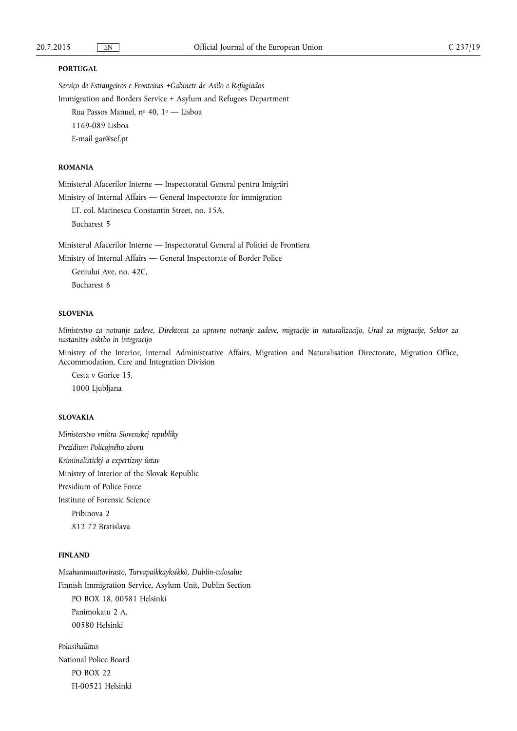#### **PORTUGAL**

*Serviço de Estrangeiros e Fronteiras +Gabinete de Asilo e Refugiados*  Immigration and Borders Service + Asylum and Refugees Department

Rua Passos Manuel, nº 40, 1º - Lisboa 1169-089 Lisboa E-mail [gar@sef.pt](mailto:gar@sef.pt) 

# **ROMANIA**

Ministerul Afacerilor Interne — Inspectoratul General pentru Imigrări

Ministry of Internal Affairs — General Inspectorate for immigration

LT. col. Marinescu Constantin Street, no. 15A, Bucharest 5

Ministerul Afacerilor Interne — Inspectoratul General al Politiei de Frontiera

Ministry of Internal Affairs — General Inspectorate of Border Police

Geniului Ave, no. 42C, Bucharest 6

#### **SLOVENIA**

*Ministrstvo za notranje zadeve, Direktorat za upravne notranje zadeve, migracije in naturalizacijo, Urad za migracije, Sektor za nastanitev oskrbo in integracijo* 

Ministry of the Interior, Internal Administrative Affairs, Migration and Naturalisation Directorate, Migration Office, Accommodation, Care and Integration Division

Cesta v Gorice 15, 1000 Ljubljana

### **SLOVAKIA**

*Ministerstvo vnútra Slovenskej republiky Prezídium Policajného zboru Kriminalistický a expertízny ústav*  Ministry of Interior of the Slovak Republic Presidium of Police Force Institute of Forensic Science Pribinova 2 812 72 Bratislava

#### **FINLAND**

*Maahanmuuttovirasto, Turvapaikkayksikkö, Dublin-tulosalue*  Finnish Immigration Service, Asylum Unit, Dublin Section PO BOX 18, 00581 Helsinki Panimokatu 2 A, 00580 Helsinki

*Poliisihallitus*  National Police Board PO BOX 22 FI-00521 Helsinki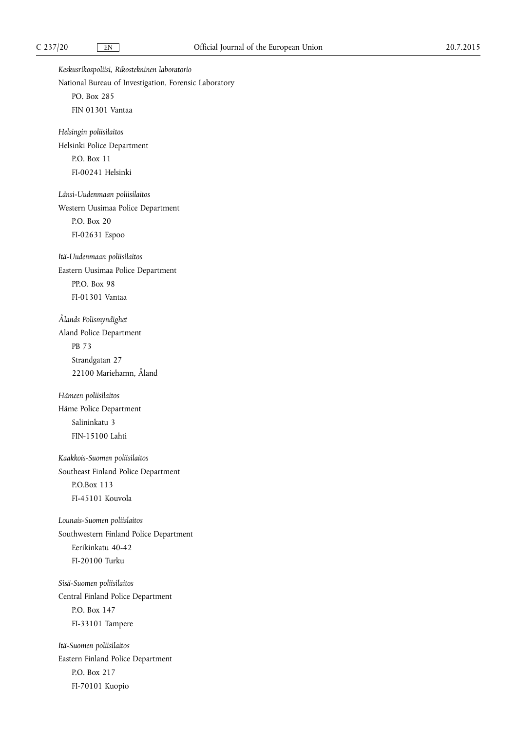*Keskusrikospoliisi, Rikostekninen laboratorio*  National Bureau of Investigation, Forensic Laboratory PO. Box 285 FIN 01301 Vantaa *Helsingin poliisilaitos*  Helsinki Police Department P.O. Box 11 FI-00241 Helsinki *Länsi-Uudenmaan poliisilaitos*  Western Uusimaa Police Department P.O. Box 20 FI-02631 Espoo *Itä-Uudenmaan poliisilaitos*  Eastern Uusimaa Police Department PP.O. Box 98 FI-01301 Vantaa *Ålands Polismyndighet*  Aland Police Department PB 73 Strandgatan 27 22100 Mariehamn, Åland *Hämeen poliisilaitos*  Häme Police Department Salininkatu 3 FIN-15100 Lahti *Kaakkois-Suomen poliisilaitos*  Southeast Finland Police Department P.O.Box 113 FI-45101 Kouvola *Lounais-Suomen poliislaitos*  Southwestern Finland Police Department Eerikinkatu 40-42 FI-20100 Turku *Sisä-Suomen poliisilaitos*  Central Finland Police Department P.O. Box 147 FI-33101 Tampere *Itä-Suomen poliisilaitos*  Eastern Finland Police Department P.O. Box 217 FI-70101 Kuopio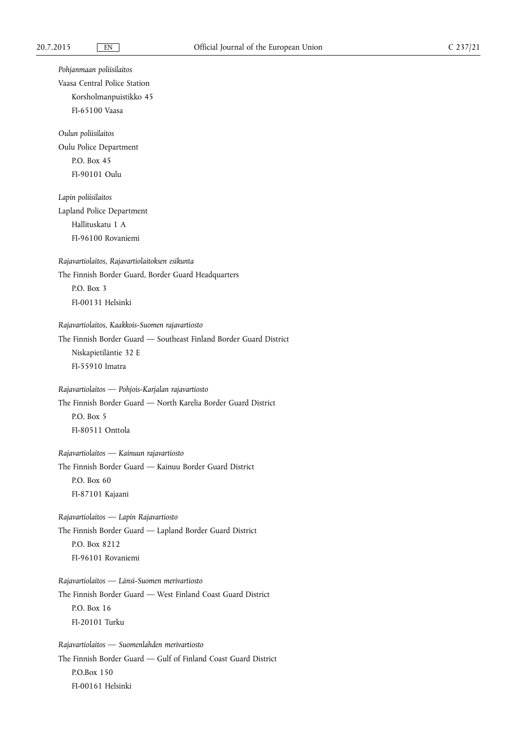*Pohjanmaan poliisilaitos*  Vaasa Central Police Station Korsholmanpuistikko 45 FI-65100 Vaasa *Oulun poliisilaitos*  Oulu Police Department P.O. Box 45 FI-90101 Oulu *Lapin poliisilaitos*  Lapland Police Department Hallituskatu 1 A FI-96100 Rovaniemi *Rajavartiolaitos, Rajavartiolaitoksen esikunta*  The Finnish Border Guard, Border Guard Headquarters P.O. Box 3 FI-00131 Helsinki *Rajavartiolaitos, Kaakkois-Suomen rajavartiosto*  The Finnish Border Guard — Southeast Finland Border Guard District Niskapietiläntie 32 E FI-55910 Imatra *Rajavartiolaitos — Pohjois-Karjalan rajavartiosto*  The Finnish Border Guard — North Karelia Border Guard District P.O. Box 5 FI-80511 Onttola *Rajavartiolaitos — Kainuun rajavartiosto*  The Finnish Border Guard — Kainuu Border Guard District P.O. Box 60 FI-87101 Kajaani *Rajavartiolaitos — Lapin Rajavartiosto*  The Finnish Border Guard — Lapland Border Guard District P.O. Box 8212 FI-96101 Rovaniemi *Rajavartiolaitos — Länsi-Suomen merivartiosto*  The Finnish Border Guard — West Finland Coast Guard District P.O. Box 16 FI-20101 Turku *Rajavartiolaitos — Suomenlahden merivartiosto*  The Finnish Border Guard — Gulf of Finland Coast Guard District P.O.Box 150 FI-00161 Helsinki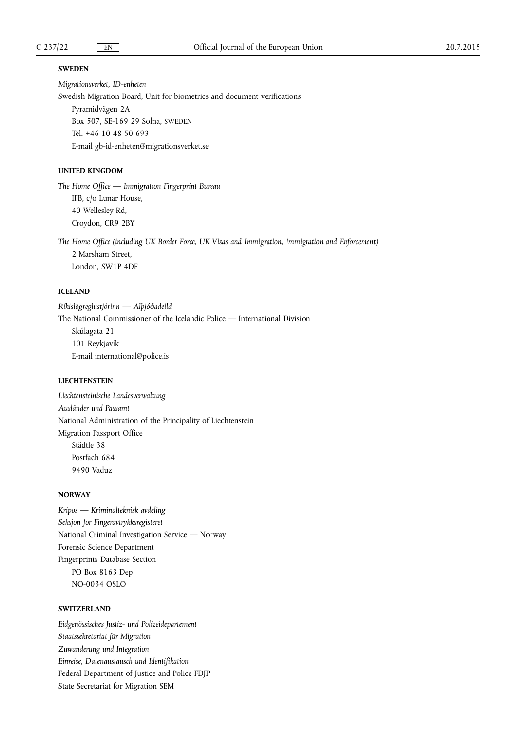### **SWEDEN**

*Migrationsverket, ID-enheten* 

Swedish Migration Board, Unit for biometrics and document verifications Pyramidvägen 2A Box 507, SE-169 29 Solna, SWEDEN Tel. +46 10 48 50 693 E-mail [gb-id-enheten@migrationsverket.se](mailto:gb-id-enheten@migrationsverket.se)

### **UNITED KINGDOM**

*The Home Office — Immigration Fingerprint Bureau*  IFB, c/o Lunar House, 40 Wellesley Rd, Croydon, CR9 2BY

*The Home Office (including UK Border Force, UK Visas and Immigration, Immigration and Enforcement)*  2 Marsham Street, London, SW1P 4DF

# **ICELAND**

*Ríkislögreglustjórinn — Alþjóðadeild*  The National Commissioner of the Icelandic Police — International Division Skúlagata 21 101 Reykjavík E-mail [international@police.is](mailto:international@police.is) 

# **LIECHTENSTEIN**

*Liechtensteinische Landesverwaltung Ausländer und Passamt*  National Administration of the Principality of Liechtenstein Migration Passport Office Städtle 38 Postfach 684 9490 Vaduz

### **NORWAY**

*Kripos — Kriminalteknisk avdeling Seksjon for Fingeravtrykksregisteret*  National Criminal Investigation Service — Norway Forensic Science Department Fingerprints Database Section PO Box 8163 Dep NO-0034 OSLO

### **SWITZERLAND**

*Eidgenössisches Justiz- und Polizeidepartement Staatssekretariat für Migration Zuwanderung und Integration Einreise, Datenaustausch und Identifikation*  Federal Department of Justice and Police FDJP State Secretariat for Migration SEM